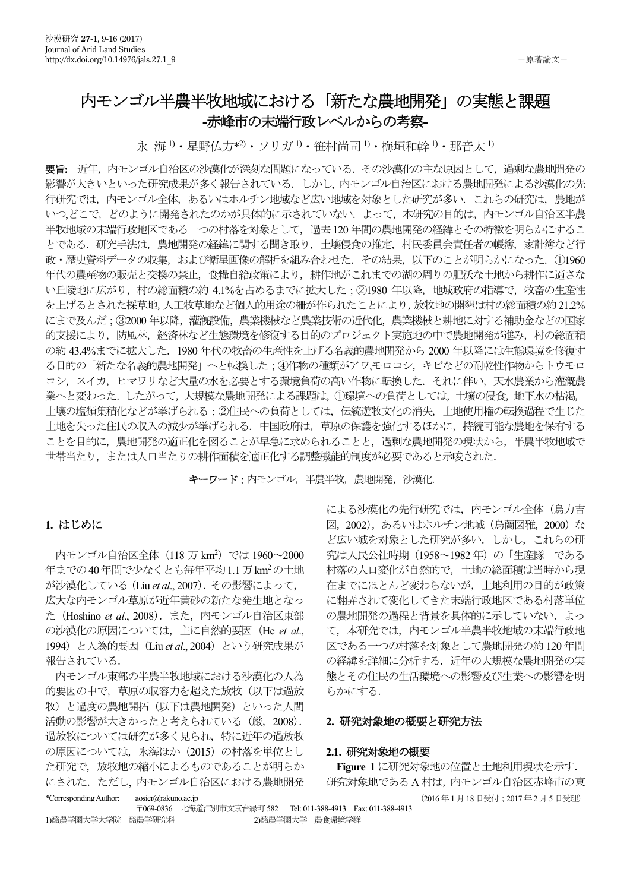# 内モンゴル半農半牧地域における「新たな農地開発」の実態と課題 - 赤峰市の末端行政レベルからの考察

永 海<sup>1)</sup> • 星野仏方\*2) • ソリガ<sup>1)</sup> • 笹村尚司<sup>1)</sup> • 梅垣和幹<sup>1</sup>) • 那音太<sup>1)</sup>

要旨: 近年. 内モンゴル自治区の沙漠化が深刻な問題になっている. その沙漠化の主な原因として. 過剰な農地開発の 影響が大きいといった研究成果が多く報告されている. しかし、内モンゴル自治区における農地開発による沙漠化の先 行研究では、内モンゴル全体、あるいはホルチン地域など広い地域を対象とした研究が多い、これらの研究は、農地が いつ、どこで、どのように開発されたのかが具体的に示されていない。よって、本研究の目的は、内モンゴル自治区半農 半牧地域の末端行政地区である一つの村落を対象として、過去120年間の農地開発の経緯とその特徴を明らかにするこ とである. 研究手法は、農地開発の経緯に関する聞き取り、土壌侵食の推定、村民委員会責任者の帳簿、家計簿など行 政·歴史資料データの収集, および衛星画像の解析を組み合わせた. その結果, 以下のことが明らかになった. 11960 年代の農産物の販売と交換の禁止、食糧自給政策により、耕作地がこれまでの湖の周りの肥沃な土地から耕作に適さな い丘陵地に広がり、村の総面積の約 4.1%を占めるまでに拡大した; ②1980 年以降、地域政府の指導で、牧畜の生産性 を上げるとされた採草地、人工牧草地など個人的用途の柵が作られたことにより、放牧地の開墾は村の総面積の約21.2% にまで及んだ: 32000年以降、灌漑設備、農業機械など農業技術の近代化、農業機械と耕地に対する補助金などの国家 的支援により、防風林、経済林など生態環境を修復する目的のプロジェクト実施地の中で農地開発が進み、村の総面積 の約 43.4%までに拡大した. 1980 年代の牧畜の生産性を上げる名義的農地開発から 2000 年以降には生態環境を修復す る目的の「新たな名義的農地開発」へと転換した;4)作物の種類がアワ、モロコシ、キビなどの耐乾性作物からトウモロ コシ、スイカ、ヒマワリなど大量の水を必要とする環境負荷の高い作物に転換した。それに伴い、天水農業から灌漑農 業へと変わった. したがって、大規模な農地開発による課題は、①環境への負荷としては、土壌の侵食、地下水の枯渇、 土壌の塩類集積化などが挙げられる;②住民への負荷としては、伝統遊牧文化の消失、土地使用権の転換過程で生じた 土地を失った住民の収入の減少が挙げられる。中国政府は、草原の保護を強化するほかに、持続可能な農地を保有する ことを目的に,農地開発の適正化を図ることが早急に求められることと,過剰な農地開発の現状から,半農半牧地域で 世帯当たり、または人口当たりの耕作面積を適正化する調整機能的制度が必要であると示唆された.

キーワード:内モンゴル、半農半牧、農地開発、沙漠化.

## ࡵࡌࡣ **1.**

内モンゴル自治区全体(118 万 km<sup>2</sup>)では 1960~2000 年までの40年間で少なくとも毎年平均1.1万km2の土地 が沙漠化している (Liu et al., 2007). その影響によって, 広大な内モンゴル草原が近年黄砂の新たな発生地となっ た (Hoshino et al., 2008). また、内モンゴル自治区東部 の沙漠化の原因については、主に自然的要因 (He et al., 1994) と人為的要因 (Liu et al., 2004) という研究成果が 報告されている.

内モンゴル東部の半農半牧地域における沙漠化の人為 的要因の中で、草原の収容力を超えた放牧(以下は過放 牧)と過度の農地開拓(以下は農地開発)といった人間 活動の影響が大きかったと考えられている (厳, 2008). 過放牧については研究が多く見られ、特に近年の過放牧 の原因については、永海ほか (2015) の村落を単位とし た研究で、放牧地の縮小によるものであることが明らか にされた。ただし、内モンゴル自治区における農地開発 による沙漠化の先行研究では、内モンゴル全体(鳥力吉 図, 2002), あるいはホルチン地域 (烏蘭図雅, 2000) な ど広い域を対象とした研究が多い. しかし、これらの研 究は人民公社時期 (1958~1982年) の「生産隊」である 村落の人口変化が自然的で、土地の総面積は当時から現 在までにほとんど変わらないが、土地利用の目的が政策 に翻弄されて変化してきた末端行政地区である村落単位 の農地開発の過程と背景を具体的に示していない. よっ て、本研究では、内モンゴル半農半牧地域の末端行政地 区である一つの村落を対象として農地開発の約120年間 の経緯を詳細に分析する. 近年の大規模な農地開発の実 態とその住民の生活環境への影響及び生業への影響を明 らかにする.

### 2. 研究対象地の概要と研究方法

### 2.1. 研究対象地の概要

Figure 1 に研究対象地の位置と土地利用現状を示す. 研究対象地であるA 村は、内モンゴル自治区赤峰市の東

| *Corresponding Author: | aosier@rakuno.ac.jp |                           |                 |                                     |
|------------------------|---------------------|---------------------------|-----------------|-------------------------------------|
|                        |                     | 〒069-0836 北海道江別市文京台緑町 582 |                 | Tel: 011-388-4913 Fax: 011-388-4913 |
| 1)酪農学園大学大学院 酪農学研究科     |                     |                           | 2)酪農学園大学 農食環境学群 |                                     |

(2016年1月18日受付: 2017年2月5日受理)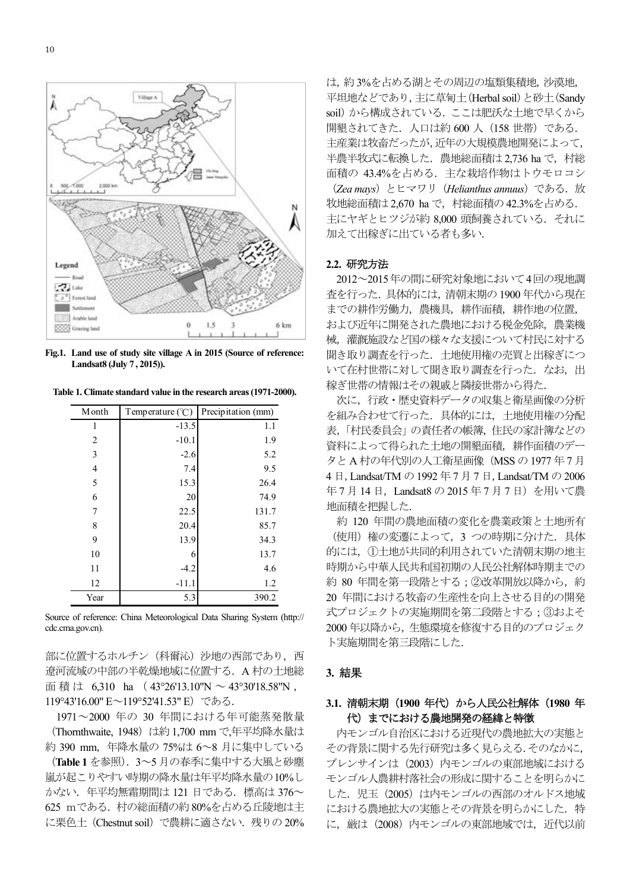

**Fig.1. Land use of study site village A in 2015 (Source of reference: Landsat8 (July 7 , 2015)).** 

**Table 1. Climate standard value in the research areas (1971-2000).** 

| Month          | Temperature $(\mathcal{C})$ | Precipitation (mm) |
|----------------|-----------------------------|--------------------|
| 1              | $-13.5$                     | 1.1                |
| 2              | $-10.1$                     | 1.9                |
| 3              | $-2.6$                      | 5.2                |
| $\overline{4}$ | 7.4                         | 9.5                |
| 5              | 15.3                        | 26.4               |
| 6              | 20                          | 74.9               |
| 7              | 22.5                        | 131.7              |
| 8              | 20.4                        | 85.7               |
| 9              | 13.9                        | 34.3               |
| 10             | 6                           | 13.7               |
| 11             | $-4.2$                      | 4.6                |
| 12             | $-11.1$                     | 1.2                |
| Year           | 5.3                         | 390.2              |

Source of reference: China Meteorological Data Sharing System (http:// cdc.cma.gov.cn).

部に位置するホルチン (科爾沁) 沙地の西部であり、西 遼河流域の中部の半乾燥地域に位置する. A 村の土地総 面積は 6.310 ha (43°26'13.10"N ~ 43°30'18.58"N, 119°43'16.00" E~119°52'41.53" E) である.

1971 ~2000 年の 30 年間における年可能蒸発散量 (Thornthwaite, 1948) は約 1,700 mm で,年平均降水量は 約 390 mm, 年降水量の 75%は 6~8 月に集中している (Table 1 を参照). 3~5 月の春季に集中する大風と砂塵 嵐が起こりやすい時期の降水量は年平均降水量の10%し かない. 年平均無霜期間は 121 日である. 標高は 376~ 625 mである. 村の総面積の約80%を占める丘陵地は主 に栗色土 (Chestnut soil) で農耕に適さない. 残りの20% は、約3%を占める湖とその周辺の塩類集積地、沙漠地, 平坦地などであり、主に草甸土(Herbal soil)と砂土(Sandy soil) から構成されている。ここは肥沃な土地で早くから 開墾されてきた. 人口は約 600 人 (158 世帯) である. 主産業は牧畜だったが、近年の大規模農地開発によって. 半農半牧式に転換した. 農地総面積は 2.736 ha で、村総 面積の 43.4%を占める. 主な栽培作物はトウモロコシ (Zea mays) とヒマワリ (Helianthus annuus) である. 放 牧地総面積は 2,670 ha で、村総面積の 42.3%を占める. 主にヤギとヒツジが約 8,000 頭飼養されている。 それに 加えて出稼ぎに出ている者も多い.

#### 2.2. 研究方法

2012~2015年の間に研究対象地において4回の現地調 査を行った. 具体的には、清朝末期の1900年代から現在 までの耕作労働力、農機具、耕作面積、耕作地の位置、 および近年に開発された農地における税金免除、農業機 械、灌漑施設など国の様々な支援について村民に対する 聞き取り調査を行った、土地使用権の売買と出稼ぎにつ いて在村世帯に対して聞き取り調査を行った. なお、出 稼ぎ世帯の情報はその親戚と隣接世帯から得た.

次に、行政·歴史資料データの収集と衛星画像の分析 を組み合わせて行った。具体的には、土地使用権の分配 表、「村民委員会」の責任者の帳簿、住民の家計簿などの 資料によって得られた土地の開墾面積、耕作面積のデー タとA 村の年代別の人工衛星画像 (MSS の 1977 年 7 月 4 日, Landsat/TM の 1992 年 7 月 7 日, Landsat/TM の 2006 年7月14日, Landsat8の2015年7月7日)を用いて農 地面積を把握した.

約 120 年間の農地面積の変化を農業政策と土地所有 (使用)権の変遷によって、3 つの時期に分けた. 具体 的には、11土地が共同的利用されていた清朝末期の地主 時期から中華人民共和国初期の人民公社解体時期までの 約 80 年間を第一段階とする; ②改革開放以降から, 約 20 年間における牧畜の生産性を向上させる目的の開発 式プロジェクトの実施期間を第二段階とする;3およそ 2000年以降から、生態環境を修復する目的のプロジェク ト実施期間を第三段階にした.

## **3.** ⤖ᯝ

# 3.1. 清朝末期 (1900 年代) から人民公社解体 (1980 年 代)までにおける農地開発の経緯と特徴

内モンゴル自治区における近現代の農地拡大の実態と その背景に関する先行研究は多く見らえる、そのなかに ブレンサインは (2003) 内モンゴルの東部地域における モンゴル人農耕村落社会の形成に関することを明らかに した. 児玉 (2005) は内モンゴルの西部のオルドス地域 における農地拡大の実態とその背景を明らかにした. 特 に、厳は (2008) 内モンゴルの東部地域では、近代以前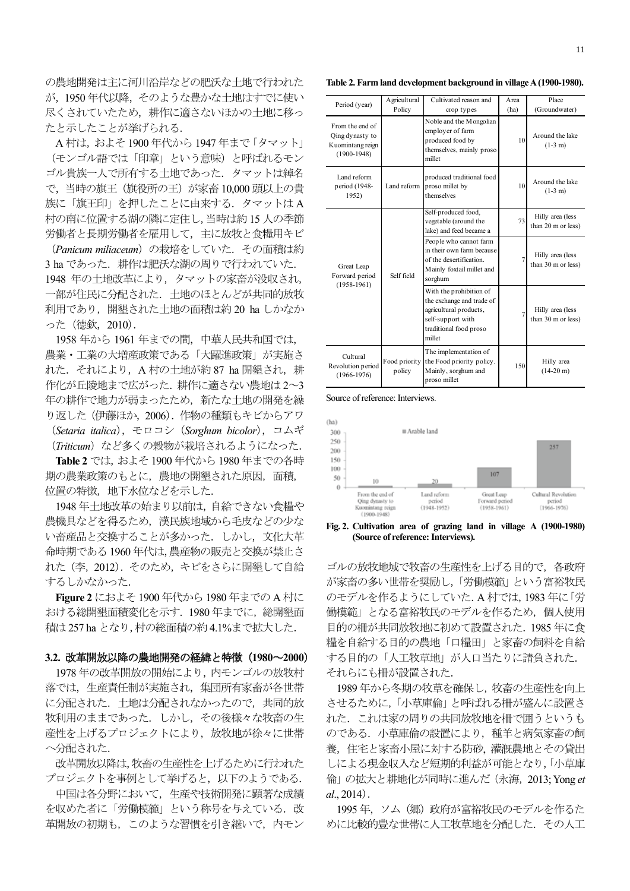の農地開発は主に河川沿岸などの肥沃な土地で行われた が、1950年代以降、そのような豊かな土地はすでに使い 尽くされていたため、耕作に適さないほかの土地に移っ たと示したことが挙げられる.

A 村は, およそ 1900 年代から 1947 年まで「タマット」 (モンゴル語では「印章」という意味)と呼ばれるモン ゴル貴族一人で所有する土地であった。タマットは綽名 で,当時の旗王(旗役所の王)が家畜 10,000 頭以上の貴 族に「旗王印」を押したことに由来する. タマットはA 村の南に位置する湖の隣に定住し、当時は約15人の季節 労働者と長期労働者を雇用して、主に放牧と食糧用キビ

(Panicum miliaceum) の栽培をしていた. その面積は約 3 ha であった. 耕作は肥沃な湖の周りで行われていた. 1948 年の土地改革により、タマットの家畜が没収され、 一部が住民に分配された。土地のほとんどが共同的放牧 利用であり、開墾された土地の面積は約 20 ha しかなか った (德欽, 2010).

1958 年から 1961 年までの間、中華人民共和国では、 農業・工業の大増産政策である「大躍進政策」が実施さ れた. それにより, A 村の土地が約87 ha 開墾され, 耕 作化が丘陵地まで広がった. 耕作に適さない農地は2~3 年の耕作で地力が弱まったため、新たな十地の開発を繰 り返した (伊藤ほか, 2006). 作物の種類もキビからアワ (Setaria italica), モロコシ (Sorghum bicolor), コムギ

(Triticum) など多くの穀物が栽培されるようになった.

Table 2 では、およそ 1900 年代から 1980 年までの各時 期の農業政策のもとに、農地の開墾された原因,面積, 位置の特徴,地下水位などを示した.

1948年土地改革の始まり以前は、自給できない食糧や 農機具などを得るため、漢民族地域から毛皮などの少な い畜産品と交換することが多かった。しかし、文化大革 命時期である1960年代は、農産物の販売と交換が禁止さ れた (李, 2012). そのため、キビをさらに開墾して自給 するしかなかった.

**Figure 2** におよそ 1900 年代から 1980 年までの A 村に おける総開墾面積変化を示す. 1980年までに、総開墾面 積は 257 ha となり, 村の総面積の約 4.1% まで拡大した.

## 3.2. 改革開放以降の農地開発の経緯と特徴 (1980~2000)

1978 年の改革開放の開始により、内モンゴルの放牧村 落では、生産責任制が実施され、集団所有家畜が各世帯 に分配された。土地は分配されなかったので、共同的放 牧利用のままであった。しかし、その後様々な牧畜の生 産性を上げるプロジェクトにより、放牧地が徐々に世帯 へ分配された

改革開放以降は,牧畜の生産性を上げるために行われた プロジェクトを事例として挙げると, 以下のようである.

中国は各分野において、生産や技術開発に顕著な成績 を収めた者に「労働模範」という称号を与えている. 改 革開放の初期も、このような習慣を引き継いで、内モン

**Table 2. Farm land development background in village A (1900-1980).** 

| Period (year)                                                             | Agricultural<br>Policy  | Cultivated reason and<br>crop types                                                                                                     | Area<br>(ha)   | Place<br>(Groundwater)                 |
|---------------------------------------------------------------------------|-------------------------|-----------------------------------------------------------------------------------------------------------------------------------------|----------------|----------------------------------------|
| From the end of<br>Qing dynasty to<br>Kuomintang reign<br>$(1900 - 1948)$ |                         | Noble and the Mongolian<br>employer of farm<br>produced food by<br>themselves, mainly proso<br>millet                                   | 10             | Around the lake<br>$(1-3 m)$           |
| Land reform<br>period (1948-<br>1952)                                     | Land reform             | produced traditional food<br>proso millet by<br>themselves                                                                              | 10             | Around the lake<br>$(1-3 m)$           |
| Great Leap<br>Forward period<br>$(1958-1961)$                             | Self field              | Self-produced food,<br>vegetable (around the<br>lake) and feed became a                                                                 | 73             | Hilly area (less<br>than 20 m or less) |
|                                                                           |                         | People who cannot farm<br>in their own farm because<br>of the desertification.<br>Mainly foxtail millet and<br>sorghum                  | $\overline{7}$ | Hilly area (less<br>than 30 m or less) |
|                                                                           |                         | With the prohibition of<br>the exchange and trade of<br>agricultural products,<br>self-support with<br>traditional food proso<br>millet | $\overline{7}$ | Hilly area (less<br>than 30 m or less) |
| Cultural<br>Revolution period<br>$(1966 - 1976)$                          | Food priority<br>policy | The implementation of<br>the Food priority policy.<br>Mainly, sorghum and<br>proso millet                                               | 150            | Hilly area<br>$(14-20 \text{ m})$      |

Source of reference: Interviews.



**Fig. 2. Cultivation area of grazing land in village A (1900-1980) (Source of reference: Interviews).** 

ゴルの放牧地域で牧畜の生産性を上げる目的で、各政府 が家畜の多い世帯を奨励し、「労働模範」という富裕牧民 のモデルを作るようにしていた. A 村では, 1983年に「労 働模範」となる富裕牧民のモデルを作るため、個人使用 目的の柵が共同放牧地に初めて設置された. 1985 年に食 糧を自給する目的の農地「口糧田」と家畜の飼料を自給 する目的の「人工牧草地」が人口当たりに請負された. それらにも柵が設置された.

1989年から冬期の牧草を確保し、牧畜の生産性を向上 させるために、「小草庫倫」と呼ばれる柵が盛んに設置さ れた.これは家の周りの共同放牧地を柵で囲うというも のである. 小草庫倫の設置により、種羊と病気家畜の飼 養,住宅と家畜小屋に対する防砂、灌漑農地とその貸出 しによる現金収入など短期的利益が可能となり,「小草庫 倫」の拡大と耕地化が同時に進んだ (永海, 2013; Yong et  $al_{1}$ , 2014).

1995年、ソム (郷)政府が富裕牧民のモデルを作るた めに比較的豊な世帯に人工牧草地を分配した. その人工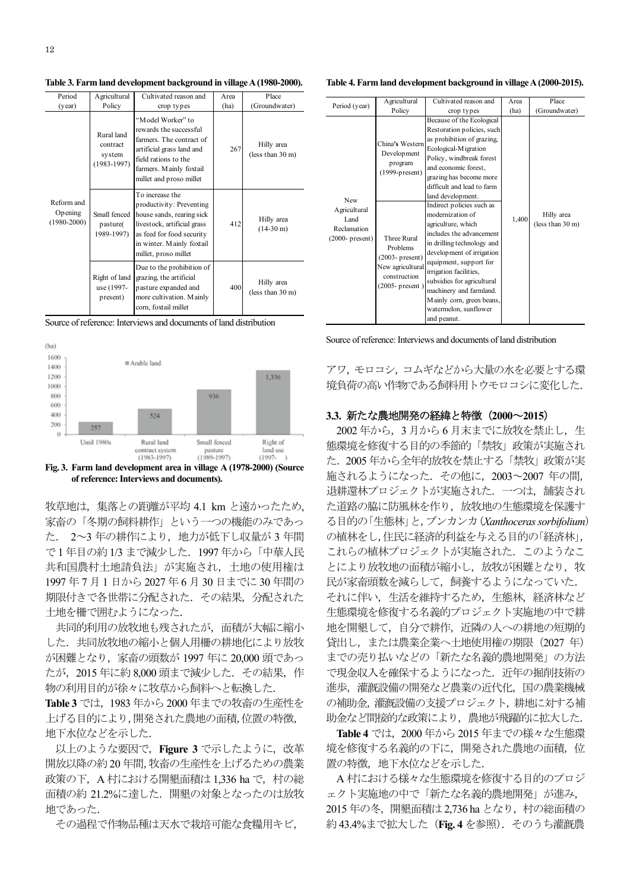**Table 3. Farm land development background in village A (1980-2000).** 

| Period                                   | Agricultural                                        | Cultivated reason and                                                                                                                                                                     | Area | Place                             |
|------------------------------------------|-----------------------------------------------------|-------------------------------------------------------------------------------------------------------------------------------------------------------------------------------------------|------|-----------------------------------|
| (year)                                   | Policy                                              | crop types                                                                                                                                                                                | (ha) | (Groundwater)                     |
| Reform and<br>Opening<br>$(1980 - 2000)$ | Rural land<br>contract<br>system<br>$(1983 - 1997)$ | "Model Worker" to<br>rewards the successful<br>farmers. The contract of<br>artificial grass land and<br>field rations to the<br>farmers. Mainly foxtail<br>millet and proso millet        | 267  | Hilly area<br>(less than 30 m)    |
|                                          | Small fenced<br>pasture(<br>1989-1997)              | To increase the<br>productivity: Preventing<br>house sands, rearing sick<br>livestock, artificial grass<br>as feed for food security<br>in winter. Mainly foxtail<br>millet, proso millet | 412  | Hilly area<br>$(14-30 \text{ m})$ |
|                                          | Right of land<br>use (1997-<br>present)             | Due to the prohibition of<br>grazing, the artificial<br>pasture expanded and<br>more cultivation. Mainly<br>corn, foxtail millet                                                          | 400  | Hilly area<br>(less than 30 m)    |

Source of reference: Interviews and documents of land distribution



**of reference: Interviews and documents).** 

牧草地は、集落との距離が平均 4.1 km と遠かったため, 家畜の「冬期の飼料耕作」という一つの機能のみであっ た. 2~3 年の耕作により、地力が低下し収量が 3 年間 で1年目の約1/3 まで減少した. 1997年から「中華人民 共和国農村土地請負法」が実施され、土地の使用権は 1997年7月1日から2027年6月30日までに30年間の 期限付きで各世帯に分配された、その結果、分配された 土地を柵で囲むようになった.

共同的利用の放牧地も残されたが、面積が大幅に縮小 した. 共同放牧地の縮小と個人用柵の耕地化により放牧 が困難となり、家畜の頭数が 1997 年に 20,000 頭であっ たが、2015 年に約 8,000 頭まで減少した. その結果、作 物の利用目的が徐々に牧草から飼料へと転換した.

**Table 3 では、1983年から2000 年までの牧畜の生産性を** 上げる目的により,開発された農地の面積,位置の特徴, 地下水位などを示した.

以上のような要因で, Figure 3 で示したように, 改革 開放以降の約20年間,牧畜の生産性を上げるための農業 政策の下, A 村における開墾面積は 1,336 ha で, 村の総 面積の約 21.2%に達した. 開墾の対象となったのは放牧 地であった.

その過程で作物品種は天水で栽培可能な食糧用キビ,

**Table 4. Farm land development background in village A (2000-2015).** 

| Period (year)                                                    | Agricultural                                                                                                   | Cultivated reason and                                                                                                                                                                                                                                                                                                                        | Area  | Place                          |
|------------------------------------------------------------------|----------------------------------------------------------------------------------------------------------------|----------------------------------------------------------------------------------------------------------------------------------------------------------------------------------------------------------------------------------------------------------------------------------------------------------------------------------------------|-------|--------------------------------|
|                                                                  | Policy                                                                                                         | crop types                                                                                                                                                                                                                                                                                                                                   | (ha)  | (Groundwater)                  |
| New<br>Agricultural<br>Land<br>Reclamation<br>$(2000 - present)$ | China's Western<br>Development<br>program<br>$(1999-pressent)$                                                 | Because of the Ecological<br>Restoration policies, such<br>as prohibition of grazing.<br>Ecological-Migration<br>Policy, windbreak forest<br>and economic forest.<br>grazing has become more<br>difficult and lead to farm<br>land development.                                                                                              |       |                                |
|                                                                  | Three Rural<br><b>Problems</b><br>$(2003 - present)$<br>New agricultural<br>construction<br>$(2005 - present)$ | Indirect policies such as<br>modernization of<br>agriculture, which<br>includes the advancement<br>in drilling technology and<br>development of irrigation<br>equipment, support for<br>irrigation facilities,<br>subsidies for agricultural<br>machinery and farmland.<br>Mainly corn, green beans,<br>watermelon, sunflower<br>and peanut. | 1,400 | Hilly area<br>(less than 30 m) |

Source of reference: Interviews and documents of land distribution

アワ、モロコシ、コムギなどから大量の水を必要とする環 境負荷の高い作物である飼料用トウモロコシに変化した.

# 3.3. 新たな農地開発の経緯と特徴 (2000~2015)

2002年から、3月から6月末までに放牧を禁止し、生 態環境を修復する目的の季節的「禁牧」政策が実施され た. 2005 年から全年的放牧を禁止する「禁牧」政策が実 施されるようになった. その他に, 2003~2007 年の間, 退耕還林プロジェクトが実施された. 一つは、舗装され た道路の脇に防風林を作り、放牧地の生態環境を保護す る目的の「生熊林」と、ブンカンカ (Xanthoceras sorbifolium) の植林をし、住民に経済的利益を与える目的の「経済林」、 これらの植林プロジェクトが実施された。このようなこ とにより放牧地の面積が縮小し、放牧が困難となり、牧 民が家畜頭数を減らして、飼養するようになっていた. それに伴い、生活を維持するため、生態林、経済林など 生態環境を修復する名義的プロジェクト実施地の中で耕 地を開墾して、自分で耕作、近隣の人への耕地の短期的 貸出し、または農業企業へ土地使用権の期限 (2027 年) までの売り払いなどの「新たな名義的農地開発」の方法 で現金収入を確保するようになった。近年の掘削技術の 進歩、灌漑設備の開発など農業の近代化、国の農業機械 の補助金, 灌漑設備の支援プロジェクト, 耕地に対する補 助金など間接的な政策により、農地が飛躍的に拡大した.

Table 4 では、2000年から2015年までの様々な生態環 境を修復する名義的の下に、開発された農地の面積、位 置の特徴、地下水位などを示した.

A 村における様々な生態環境を修復する目的のプロジ ェクト実施地の中で「新たな名義的農地開発」が進み, 2015年の冬, 開墾面積は 2,736 ha となり, 村の総面積の 約 43.4%まで拡大した (Fig. 4 を参照). そのうち灌漑農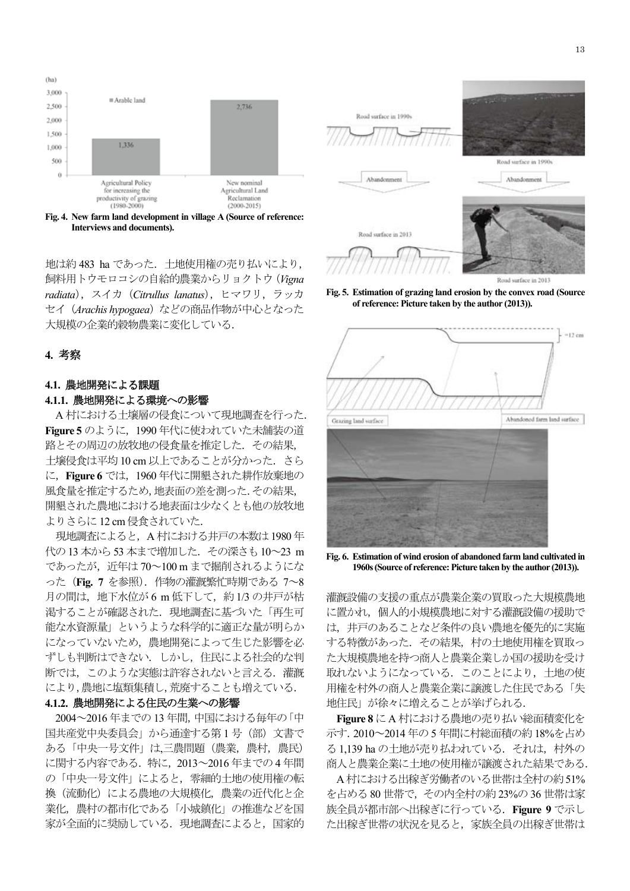

**Interviews and documents).** 

地は約 483 ha であった. 土地使用権の売り払いにより. 飼料用トウモロコシの自給的農業からリョクトウ (Vigna radiata), スイカ (Citrullus lanatus), ヒマワリ, ラッカ セイ (Arachis hypogaea) などの商品作物が中心となった 大規模の企業的穀物農業に変化している.

## **4.** ⪃ᐹ

## 4.1. 農地開発による課題

## 4.1.1. 農地開発による環境への影響

A 村における土壌層の侵食について現地調査を行った. **Figure 5** のように, 1990 年代に使われていた未舗装の道 路とその周辺の放牧地の侵食量を推定した. その結果, 土壤侵食は平均 10 cm 以上であることが分かった. さら に、Figure 6 では、1960 年代に開墾された耕作放棄地の 風食量を推定するため、地表面の差を測った. その結果, 開墾された農地における地表面は少なくとも他の放牧地 よりさらに 12 cm 侵食されていた.

現地調査によると、A 村における井戸の本数は1980年 代の13本から53本まで増加した. その深さも10~23 m であったが、近年は70~100mまで掘削されるようにな ○た (Fig. 7 を参照). 作物の灌漑繁忙時期である 7∼8 月の間は、地下水位が6m低下して、約1/3の井戸が枯 渇することが確認された. 現地調査に基づいた「再生可 ↑ 能な水資源量」 というような科学的に適正な量が明らか になっていないため、農地開発によって生じた影響を必 ずしも判断はできない。しかし、住民による社会的な判 断では、このような実態は許容されないと言える. 灌漑 により,農地に塩類集積し,荒廃することも増えている.

## 4.1.2. 農地開発による住民の生業への影響

2004~2016 年までの13 年間、中国における毎年の「中 国共産党中央委員会」から通達する第1号 (部) 文書で ある「中央一号文件」は、三農問題(農業,農村,農民) に関する内容である. 特に、2013~2016年までの4年間 の「中央一号文件」によると、零細的土地の使用権の転 換 (流動化) による農地の大規模化, 農業の近代化と企 業化、農村の都市化である「小城鎮化」の推進などを国 家が全面的に奨励している. 現地調査によると、国家的



Road surface in 2013

**Fig. 5. Estimation of grazing land erosion by the convex road (Source of reference: Picture taken by the author (2013)).** 



**Fig. 6. Estimation of wind erosion of abandoned farm land cultivated in 1960s (Source of reference: Picture taken by the author (2013)).** 

灌漑設備の支援の重点が農業企業の買取った大規模農地 に置かれ、個人的小規模農地に対する灌漑設備の援助で は、井戸のあることなど条件の良い農地を優先的に実施 する特徴があった。その結果、村の土地使用権を買取っ た大規模農地を持つ商人と農業企業しか国の援助を受け 取れないようになっている。このことにより、土地の使 用権を村外の商人と農業企業に譲渡した住民である「失 地住民」が徐々に増えることが挙げられる.

Figure 8 にA村における農地の売り払い総面積変化を 示す. 2010~2014年の5年間に村総面積の約18%を占め る 1,139 ha の土地が売り払われている. それは、村外の 商人と農業企業に土地の使用権が譲渡された結果である.

A村における出稼ぎ労働者のいる世帯は全村の約51% を占める 80 世帯で、その内全村の約 23%の 36 世帯は家 族全員が都市部へ出稼ぎに行っている. Figure 9 で示し た出稼ぎ世帯の状況を見ると、家族全員の出稼ぎ世帯は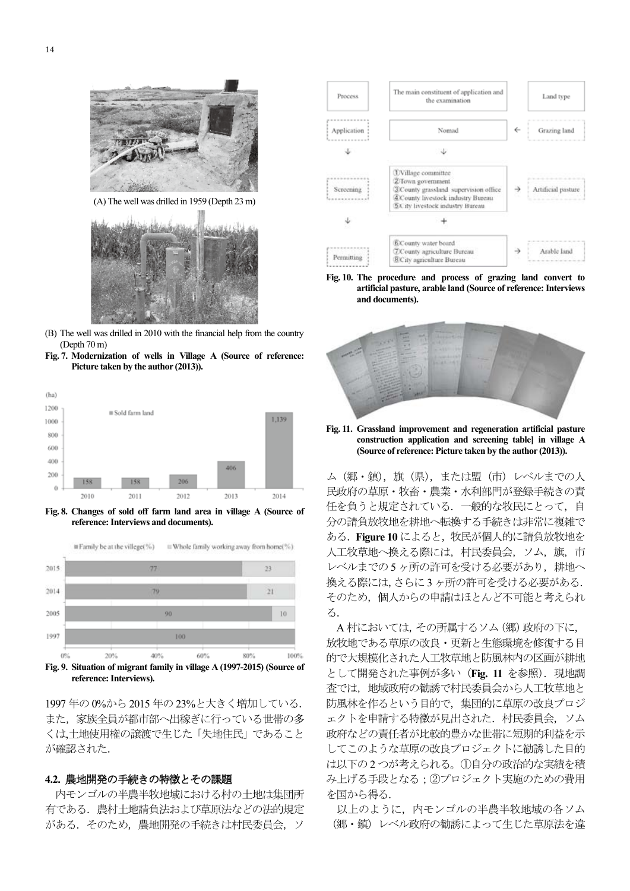

(A) The well was drilled in 1959 (Depth 23 m)



- (B) The well was drilled in 2010 with the financial help from the country (Depth 70 m)
- **Fig. 7. Modernization of wells in Village A (Source of reference: Picture taken by the author (2013)).**



**Fig. 8. Changes of sold off farm land area in village A (Source of reference: Interviews and documents).** 



**Fig. 9. Situation of migrant family in village A (1997-2015) (Source of reference: Interviews).** 

1997年の0%から2015年の23%と大きく増加している. また、家族全員が都市部へ出稼ぎに行っている世帯の多 くは、土地使用権の譲渡で生じた「失地住民」であること が確認された.

### 4.2. 農地開発の手続きの特徴とその課題

内モンゴルの半農半牧地域における村の土地は集団所 有である. 農村土地請負法および草原法などの法的規定 がある. そのため,農地開発の手続きは村民委員会, ソ



**Fig. 10. The procedure and process of grazing land convert to artificial pasture, arable land (Source of reference: Interviews and documents).** 



**Fig. 11. Grassland improvement and regeneration artificial pasture construction application and screening table] in village A (Source of reference: Picture taken by the author (2013)).** 

ム (郷・鎮), 旗 (県), または盟 (市) レベルまでの人 民政府の草原·牧畜·農業·水利部門が登録手続きの責 任を負うと規定されている. 一般的な牧民にとって、自 分の請負放牧地を耕地へ転換する手続きは非常に複雑で ある. Figure 10 によると、牧民が個人的に請負放牧地を 人工牧草地へ換える際には、村民委員会、ソム、旗、市 レベルまでの5ヶ所の許可を受ける必要があり、耕地へ 換える際には、さらに3ヶ所の許可を受ける必要がある. そのため、個人からの申請はほとんど不可能と考えられ  $Z_{\Omega}$ 

A 村においては、その所属するソム (郷) 政府の下に, 放牧地である草原の改良·更新と生熊環境を修復する目 的で大規模化された人工牧草地と防風林内の区画が耕地 として開発された事例が多い (Fig. 11 を参照). 現地調 査では、地域政府の勧誘で村民委員会から人工牧草地と 防風林を作るという目的で、集団的に草原の改良プロジ ェクトを申請する特徴が見出された. 村民委員会, ソム 政府などの責任者が比較的豊かな世帯に短期的利益を示 してこのような草原の改良プロジェクトに勧誘した目的 は以下の2つが考えられる。1自分の政治的な実績を積 み上げる手段となる;2プロジェクト実施のための費用 を国から得る.

以上のように、内モンゴルの半農半牧地域の各ソム (郷・鎮) レベル政府の勧誘によって生じた草原法を違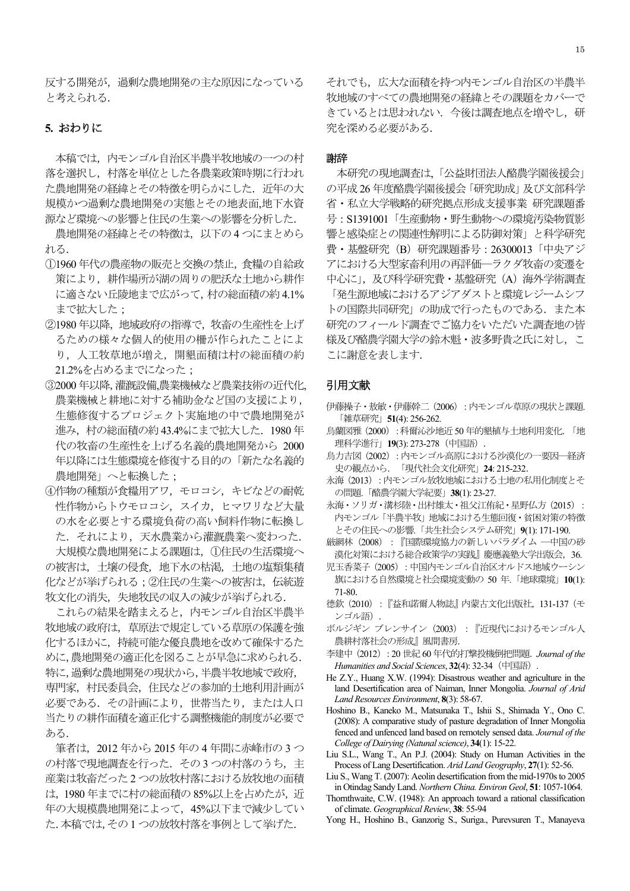反する開発が、過剰な農地開発の主な原因になっている と考えられる.

## 5. おわりに

本稿では、内モンゴル自治区半農半牧地域の一つの村 落を選択し、村落を単位とした各農業政策時期に行われ た農地開発の経緯とその特徴を明らかにした。近年の大 規模かつ過剰な農地開発の実態とその地表面,地下水資 源など環境への影響と住民の生業への影響を分析した.

農地開発の経緯とその特徴は、 以下の4 つにまとめら れる.

- (1)1960年代の農産物の販売と交換の禁止、食糧の自給政 策により、耕作場所が湖の周りの肥沃な土地から耕作 に適さない丘陵地まで広がって、村の総面積の約4.1% まで拡大した:
- ②1980年以降、地域政府の指導で、牧畜の生産性を上げ るための様々な個人的使用の柵が作られたことによ り、人工牧草地が増え、開墾面積は村の総面積の約 21.2%を占めるまでになった;
- ③2000 年以降,灌漑設備,農業機械など農業技術の近代化, 農業機械と耕地に対する補助金など国の支援により、 生態修復するプロジェクト実施地の中で農地開発が 進み、村の総面積の約43.4%にまで拡大した. 1980年 代の牧畜の生産性を上げる名義的農地開発から 2000 年以降には生態環境を修復する目的の「新たな名義的 農地開発」へと転換した;
- 4作物の種類が食糧用アワ、モロコシ、キビなどの耐乾 性作物からトウモロコシ、スイカ、ヒマワリなど大量 の水を必要とする環境負荷の高い飼料作物に転換し た. それにより、天水農業から灌漑農業へ変わった.

大規模な農地開発による課題は、1注民の生活環境へ の被害は、土壌の侵食、地下水の枯渇、土地の塩類集積 化などが挙げられる;②住民の生業への被害は,伝統遊 牧文化の消失, 失地牧民の収入の減少が挙げられる.

これらの結果を踏まえると、内モンゴル自治区半農半 牧地域の政府は、草原法で規定している草原の保護を強 化するほかに、持続可能な優良農地を改めて確保するた めに、農地開発の適正化を図ることが早急に求められる. 特に,過剰な農地開発の現状から,半農半牧地域で政府, 専門家、村民委員会、住民などの参加的土地利用計画が 必要である. その計画により、世帯当たり、または人口 当たりの耕作面積を適正化する調整機能的制度が必要で ある.

筆者は、2012年から2015年の4年間に赤峰市の3つ の村落で現地調査を行った. その3つの村落のうち、主 産業は牧畜だった2つの放牧村落における放牧地の面積 は、1980年までに村の総面積の85%以上を占めたが、近 年の大規模農地開発によって、45%以下まで減少してい た. 本稿では, その1つの放牧村落を事例として挙げた.

それでも、広大な面積を持つ内モンゴル自治区の半農半 牧地域のすべての農地開発の経緯とその課題をカバーで きているとは思われない。今後は調査地点を増やし、研 究を深める れんでん

#### ㅰ㎡

本研究の現地調査は、「公益財団法人酪農学園後援会」 の平成 26 年度酪農学園後援会「研究助成」及び文部科学 省·私立大学戦略的研究拠点形成支援事業 研究課題番 号: S1391001「生産動物・野生動物への環境汚染物質影 響と感染症との関連性解明による防御対策」と科学研究 費·基盤研究 (B) 研究課題番号: 26300013「中央アジ アにおける大型家畜利用の再評価––ラクダ牧畜の変遷を 中心に」, 及び科学研究費·基盤研究 (A) 海外学術調査

「発生源地域におけるアジアダストと環境レジームシフ トの国際共同研究」の助成で行ったものである。また本 研究のフィールド調査でご協力をいただいた調査地の皆 様及び酪農学園大学の鈴木魁·波多野貴之氏に対し、こ こに謝意を表します.

## 引用文献

- 伊藤操子・敖敏・伊藤幹二 (2006): 内モンゴル草原の現状と課題. [雑草研究<sup>1</sup> 51(4): 256-262.
- 烏蘭図雅(2000):科爾沁沙地近50年的墾植与土地利用変化.「地 理科学進行」19(3): 273-278 (中国語).
- 烏力吉図 (2002):内モンゴル高原における沙漠化の一要因一経済 史の観点から. 「現代社会文化研究」24: 215-232.
- 永海 (2013):内モンゴル放牧地域における土地の私用化制度とそ の問題.「酪農学園大学紀要」38(1): 23-27.
- 永海・ソリガ・溝杉陸・出村雄太・祖父江侑紀・星野仏方 (2015): 内モンゴル「半農半牧」地域における生態回復·貧困対策の特徴 とその住民への影響.「共生社会システム研究」9(1): 171-190.
- 厳網林 (2008) : 『国際環境協力の新しいパラダイム 一中国の砂 漠化対策における総合政策学の実践』慶應義塾大学出版会, 36.
- 児玉香菜子 (2005): 中国内モンゴル自治区オルドス地域ウーシン 旗における自然環境と社会環境変動の 50 年. 「地球環境」10(1): 71-80.
- 德欽 (2010):『益和諾爾人物誌』内蒙古文化出版社, 131-137 (モ ンゴル語).
- ボルジギン ブレンサイン (2003) :『近現代におけるモンゴル人 農耕村落社会の形成』風間書房.
- 李建中 (2012): 20 世紀 60 年代的打撃投機倒把問題. Journal of the *Humanities and Social Sciences*, **32**(4): 32-34 (中国語)
- He Z.Y., Huang X.W. (1994): Disastrous weather and agriculture in the land Desertification area of Naiman, Inner Mongolia. *Journal of Arid Land Resources Environment*, **8**(3): 58-67.
- Hoshino B., Kaneko M., Matsunaka T., Ishii S., Shimada Y., Ono C. (2008): A comparative study of pasture degradation of Inner Mongolia fenced and unfenced land based on remotely sensed data. *Journal of the College of Dairying (Natunal science)*, **34**(1): 15-22.
- Liu S.L., Wang T., An P.J. (2004): Study on Human Activities in the Process of Lang Desertification. *Arid Land Geography*, **27**(1): 52-56.
- Liu S., Wang T. (2007): Aeolin desertification from the mid-1970s to 2005 in Otindag Sandy Land. *Northern China. Environ Geol*, **51**: 1057-1064.
- Thornthwaite, C.W. (1948): An approach toward a rational classification of climate. *Geographical Review*, **38**: 55-94
- Yong H., Hoshino B., Ganzorig S., Suriga., Purevsuren T., Manayeva